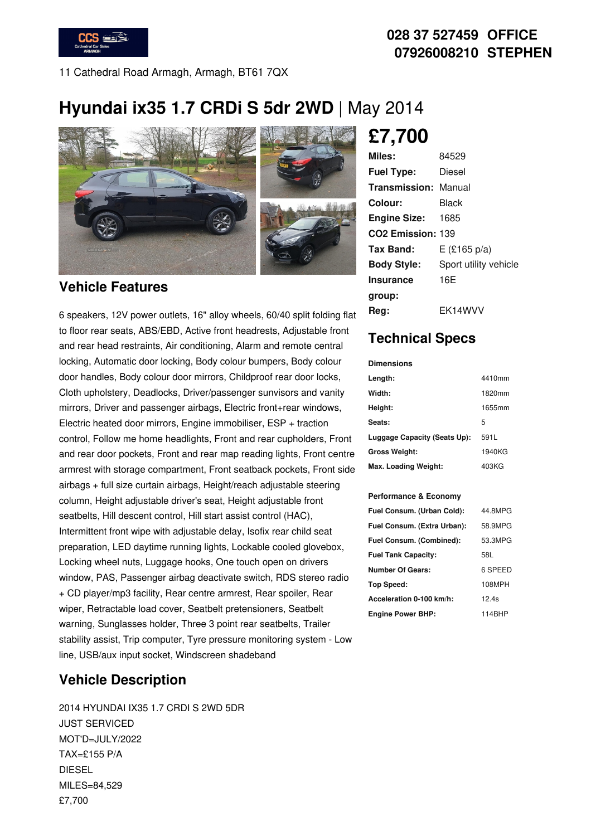

#### **028 37 527459 OFFICE 07926008210 STEPHEN**

11 Cathedral Road Armagh, Armagh, BT61 7QX

## **Hyundai ix35 1.7 CRDi S 5dr 2WD** | May 2014



#### **Vehicle Features**

6 speakers, 12V power outlets, 16" alloy wheels, 60/40 split folding flat to floor rear seats, ABS/EBD, Active front headrests, Adjustable front and rear head restraints, Air conditioning, Alarm and remote central locking, Automatic door locking, Body colour bumpers, Body colour door handles, Body colour door mirrors, Childproof rear door locks, Cloth upholstery, Deadlocks, Driver/passenger sunvisors and vanity mirrors, Driver and passenger airbags, Electric front+rear windows, Electric heated door mirrors, Engine immobiliser, ESP + traction control, Follow me home headlights, Front and rear cupholders, Front and rear door pockets, Front and rear map reading lights, Front centre armrest with storage compartment, Front seatback pockets, Front side airbags + full size curtain airbags, Height/reach adjustable steering column, Height adjustable driver's seat, Height adjustable front seatbelts, Hill descent control, Hill start assist control (HAC), Intermittent front wipe with adjustable delay, Isofix rear child seat preparation, LED daytime running lights, Lockable cooled glovebox, Locking wheel nuts, Luggage hooks, One touch open on drivers window, PAS, Passenger airbag deactivate switch, RDS stereo radio + CD player/mp3 facility, Rear centre armrest, Rear spoiler, Rear wiper, Retractable load cover, Seatbelt pretensioners, Seatbelt warning, Sunglasses holder, Three 3 point rear seatbelts, Trailer stability assist, Trip computer, Tyre pressure monitoring system - Low line, USB/aux input socket, Windscreen shadeband

#### **Vehicle Description**

2014 HYUNDAI IX35 1.7 CRDI S 2WD 5DR JUST SERVICED MOT'D=JULY/2022 TAX=£155 P/A DIESEL MILES=84,529 £7,700

# **£7,700**

| Miles:                      | 84529                 |
|-----------------------------|-----------------------|
| <b>Fuel Type:</b>           | Diesel                |
| <b>Transmission: Manual</b> |                       |
| Colour:                     | Black                 |
| <b>Engine Size: 1685</b>    |                       |
| CO2 Emission: 139           |                       |
| Tax Band:                   | $E$ (£165 p/a)        |
| <b>Body Style:</b>          | Sport utility vehicle |
| Insurance                   | 16E                   |
| group:                      |                       |
| Reg:                        | EK14WVV               |

### **Technical Specs**

| <b>Dimensions</b>            |        |
|------------------------------|--------|
| Length:                      | 4410mm |
| Width:                       | 1820mm |
| Height:                      | 1655mm |
| Seats:                       | 5      |
| Luggage Capacity (Seats Up): | 591L   |
| <b>Gross Weight:</b>         | 1940KG |
| Max. Loading Weight:         | 403KG  |

#### **Performance & Economy**

| Fuel Consum. (Urban Cold):  | 44.8MPG |
|-----------------------------|---------|
| Fuel Consum. (Extra Urban): | 58.9MPG |
| Fuel Consum. (Combined):    | 53.3MPG |
| <b>Fuel Tank Capacity:</b>  | 58L     |
| <b>Number Of Gears:</b>     | 6 SPEED |
| Top Speed:                  | 108MPH  |
| Acceleration 0-100 km/h:    | 12.4s   |
| <b>Engine Power BHP:</b>    | 114BHP  |